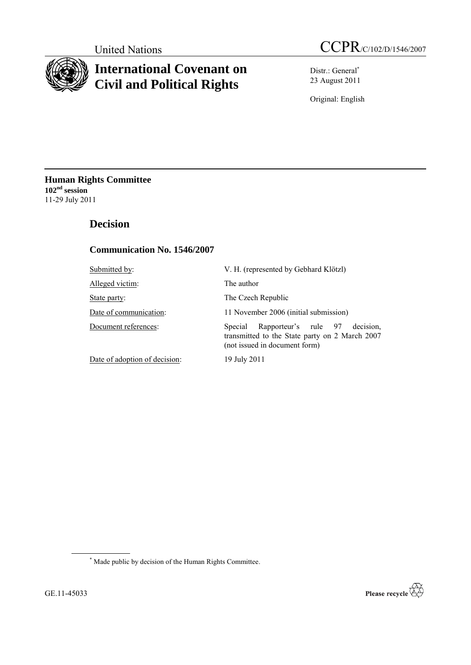

# **International Covenant on Civil and Political Rights**

Distr.: General\* 23 August 2011

Original: English

**Human Rights Committee 102nd session** 11-29 July 2011

# **Decision**

## **Communication No. 1546/2007**

| Submitted by:                 | V. H. (represented by Gebhard Klötzl)                                                                                           |
|-------------------------------|---------------------------------------------------------------------------------------------------------------------------------|
| Alleged victim:               | The author                                                                                                                      |
| State party:                  | The Czech Republic                                                                                                              |
| Date of communication:        | 11 November 2006 (initial submission)                                                                                           |
| Document references:          | Rapporteur's rule 97<br>decision.<br>Special<br>transmitted to the State party on 2 March 2007<br>(not issued in document form) |
| Date of adoption of decision: | 19 July 2011                                                                                                                    |

\* Made public by decision of the Human Rights Committee.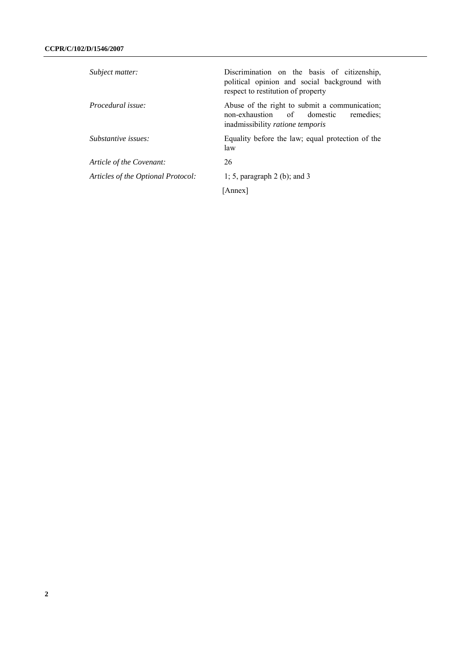| Subject matter:                    | Discrimination on the basis of citizenship,<br>political opinion and social background with<br>respect to restitution of property |
|------------------------------------|-----------------------------------------------------------------------------------------------------------------------------------|
| Procedural issue:                  | Abuse of the right to submit a communication;<br>non-exhaustion of<br>domestic<br>remedies:<br>inadmissibility ratione temporis   |
| Substantive issues:                | Equality before the law; equal protection of the<br>law                                                                           |
| Article of the Covenant:           | 26                                                                                                                                |
| Articles of the Optional Protocol: | 1; 5, paragraph 2 (b); and 3                                                                                                      |
|                                    | [Annex]                                                                                                                           |
|                                    |                                                                                                                                   |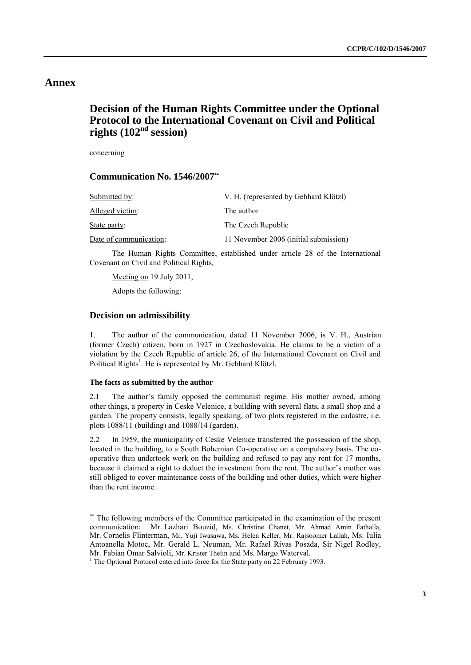# **Annex**

# **Decision of the Human Rights Committee under the Optional Protocol to the International Covenant on Civil and Political rights (102nd session)**

concerning

#### **Communication No. 1546/2007\*\***

| Submitted by:          | V. H. (represented by Gebhard Klötzl) |
|------------------------|---------------------------------------|
| Alleged victim:        | The author                            |
| State party:           | The Czech Republic                    |
| Date of communication: | 11 November 2006 (initial submission) |

The Human Rights Committee, established under article 28 of the International Covenant on Civil and Political Rights,

Meeting on 19 July 2011, Adopts the following:

### **Decision on admissibility**

1. The author of the communication, dated 11 November 2006, is V. H., Austrian (former Czech) citizen, born in 1927 in Czechoslovakia. He claims to be a victim of a violation by the Czech Republic of article 26, of the International Covenant on Civil and Political Rights<sup>1</sup>. He is represented by Mr. Gebhard Klötzl.

#### **The facts as submitted by the author**

2.1 The author's family opposed the communist regime. His mother owned, among other things, a property in Ceske Velenice, a building with several flats, a small shop and a garden. The property consists, legally speaking, of two plots registered in the cadastre, i.e. plots 1088/11 (building) and 1088/14 (garden).

2.2 In 1959, the municipality of Ceske Velenice transferred the possession of the shop, located in the building, to a South Bohemian Co-operative on a compulsory basis. The cooperative then undertook work on the building and refused to pay any rent for 17 months, because it claimed a right to deduct the investment from the rent. The author's mother was still obliged to cover maintenance costs of the building and other duties, which were higher than the rent income.

<sup>\*\*</sup> The following members of the Committee participated in the examination of the present communication: Mr. Lazhari Bouzid, Ms. Christine Chanet, Mr. Ahmad Amin Fathalla, Mr. Cornelis Flinterman, Mr. Yuji Iwasawa, Ms. Helen Keller, Mr. Rajsoomer Lallah, Ms. Iulia Antoanella Motoc, Mr. Gerald L. Neuman, Mr. Rafael Rivas Posada, Sir Nigel Rodley, Mr. Fabian Omar Salvioli, Mr. Krister Thelin and Ms. Margo Waterval.

<sup>&</sup>lt;sup>1</sup> The Optional Protocol entered into force for the State party on 22 February 1993.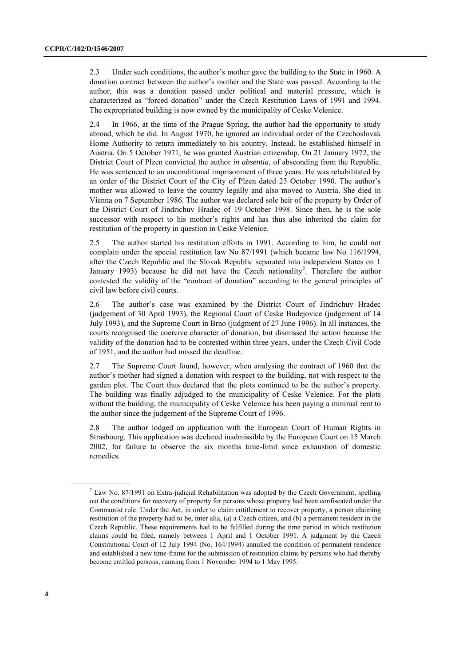2.3 Under such conditions, the author's mother gave the building to the State in 1960. A donation contract between the author's mother and the State was passed. According to the author, this was a donation passed under political and material pressure, which is characterized as "forced donation" under the Czech Restitution Laws of 1991 and 1994. The expropriated building is now owned by the municipality of Ceske Velenice.

2.4 In 1966, at the time of the Prague Spring, the author had the opportunity to study abroad, which he did. In August 1970, he ignored an individual order of the Czechoslovak Home Authority to return immediately to his country. Instead, he established himself in Austria. On 5 October 1971, he was granted Austrian citizenship. On 21 January 1972, the District Court of Plzen convicted the author *in absentia*, of absconding from the Republic. He was sentenced to an unconditional imprisonment of three years. He was rehabilitated by an order of the District Court of the City of Plzen dated 23 October 1990. The author's mother was allowed to leave the country legally and also moved to Austria. She died in Vienna on 7 September 1986. The author was declared sole heir of the property by Order of the District Court of Jindrichuv Hradec of 19 October 1998. Since then, he is the sole successor with respect to his mother's rights and has thus also inherited the claim for restitution of the property in question in Ceské Velenice.

2.5 The author started his restitution efforts in 1991. According to him, he could not complain under the special restitution law No 87/1991 (which became law No 116/1994, after the Czech Republic and the Slovak Republic separated into independent States on 1 January 1993) because he did not have the Czech nationality<sup>2</sup>. Therefore the author contested the validity of the "contract of donation" according to the general principles of civil law before civil courts.

2.6 The author's case was examined by the District Court of Jindrichuv Hradec (judgement of 30 April 1993), the Regional Court of Ceske Budejovice (judgement of 14 July 1993), and the Supreme Court in Brno (judgment of 27 June 1996). In all instances, the courts recognised the coercive character of donation, but dismissed the action because the validity of the donation had to be contested within three years, under the Czech Civil Code of 1951, and the author had missed the deadline.

2.7 The Supreme Court found, however, when analysing the contract of 1960 that the author's mother had signed a donation with respect to the building, not with respect to the garden plot. The Court thus declared that the plots continued to be the author's property. The building was finally adjudged to the municipality of Ceske Velenice. For the plots without the building, the municipality of Ceske Velenice has been paying a minimal rent to the author since the judgement of the Supreme Court of 1996.

2.8 The author lodged an application with the European Court of Human Rights in Strasbourg. This application was declared inadmissible by the European Court on 15 March 2002, for failure to observe the six months time-limit since exhaustion of domestic remedies.

<sup>&</sup>lt;sup>2</sup> Law No. 87/1991 on Extra-judicial Rehabilitation was adopted by the Czech Government, spelling out the conditions for recovery of property for persons whose property had been confiscated under the Communist rule. Under the Act, in order to claim entitlement to recover property, a person claiming restitution of the property had to be, inter alia, (a) a Czech citizen, and (b) a permanent resident in the Czech Republic. These requirements had to be fulfilled during the time period in which restitution claims could be filed, namely between 1 April and 1 October 1991. A judgment by the Czech Constitutional Court of 12 July 1994 (No. 164/1994) annulled the condition of permanent residence and established a new time-frame for the submission of restitution claims by persons who had thereby become entitled persons, running from 1 November 1994 to 1 May 1995.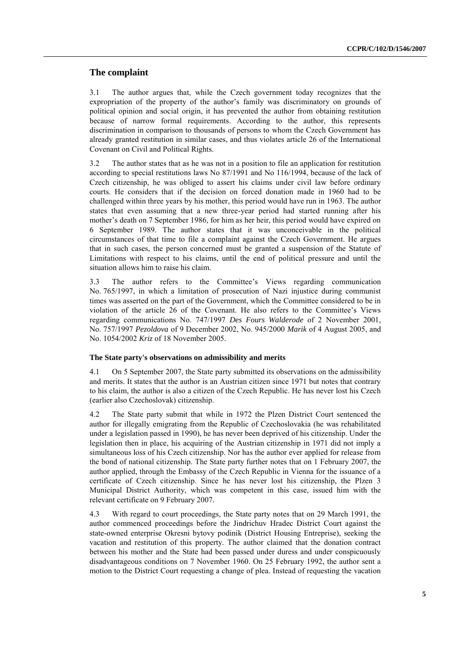### **The complaint**

3.1 The author argues that, while the Czech government today recognizes that the expropriation of the property of the author's family was discriminatory on grounds of political opinion and social origin, it has prevented the author from obtaining restitution because of narrow formal requirements. According to the author, this represents discrimination in comparison to thousands of persons to whom the Czech Government has already granted restitution in similar cases, and thus violates article 26 of the International Covenant on Civil and Political Rights.

3.2 The author states that as he was not in a position to file an application for restitution according to special restitutions laws No 87/1991 and No 116/1994, because of the lack of Czech citizenship, he was obliged to assert his claims under civil law before ordinary courts. He considers that if the decision on forced donation made in 1960 had to be challenged within three years by his mother, this period would have run in 1963. The author states that even assuming that a new three-year period had started running after his mother's death on 7 September 1986, for him as her heir, this period would have expired on 6 September 1989. The author states that it was unconceivable in the political circumstances of that time to file a complaint against the Czech Government. He argues that in such cases, the person concerned must be granted a suspension of the Statute of Limitations with respect to his claims, until the end of political pressure and until the situation allows him to raise his claim.

3.3 The author refers to the Committee's Views regarding communication No. 765/1997, in which a limitation of prosecution of Nazi injustice during communist times was asserted on the part of the Government, which the Committee considered to be in violation of the article 26 of the Covenant. He also refers to the Committee's Views regarding communications No. 747/1997 *Des Fours Walderode* of 2 November 2001, No. 757/1997 *Pezoldova* of 9 December 2002, No. 945/2000 *Marik* of 4 August 2005, and No. 1054/2002 *Kriz* of 18 November 2005.

#### **The State party's observations on admissibility and merits**

4.1 On 5 September 2007, the State party submitted its observations on the admissibility and merits. It states that the author is an Austrian citizen since 1971 but notes that contrary to his claim, the author is also a citizen of the Czech Republic. He has never lost his Czech (earlier also Czechoslovak) citizenship.

4.2 The State party submit that while in 1972 the Plzen District Court sentenced the author for illegally emigrating from the Republic of Czechoslovakia (he was rehabilitated under a legislation passed in 1990), he has never been deprived of his citizenship. Under the legislation then in place, his acquiring of the Austrian citizenship in 1971 did not imply a simultaneous loss of his Czech citizenship. Nor has the author ever applied for release from the bond of national citizenship. The State party further notes that on 1 February 2007, the author applied, through the Embassy of the Czech Republic in Vienna for the issuance of a certificate of Czech citizenship. Since he has never lost his citizenship, the Plzen 3 Municipal District Authority, which was competent in this case, issued him with the relevant certificate on 9 February 2007.

4.3 With regard to court proceedings, the State party notes that on 29 March 1991, the author commenced proceedings before the Jindrichuv Hradec District Court against the state-owned enterprise Okresni bytovy podinik (District Housing Entreprise), seeking the vacation and restitution of this property. The author claimed that the donation contract between his mother and the State had been passed under duress and under conspicuously disadvantageous conditions on 7 November 1960. On 25 February 1992, the author sent a motion to the District Court requesting a change of plea. Instead of requesting the vacation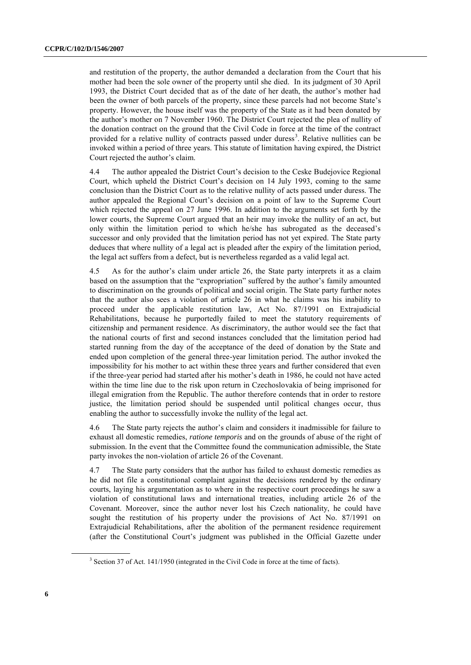and restitution of the property, the author demanded a declaration from the Court that his mother had been the sole owner of the property until she died. In its judgment of 30 April 1993, the District Court decided that as of the date of her death, the author's mother had been the owner of both parcels of the property, since these parcels had not become State's property. However, the house itself was the property of the State as it had been donated by the author's mother on 7 November 1960. The District Court rejected the plea of nullity of the donation contract on the ground that the Civil Code in force at the time of the contract provided for a relative nullity of contracts passed under duress<sup>3</sup>. Relative nullities can be invoked within a period of three years. This statute of limitation having expired, the District Court rejected the author's claim.

4.4 The author appealed the District Court's decision to the Ceske Budejovice Regional Court, which upheld the District Court's decision on 14 July 1993, coming to the same conclusion than the District Court as to the relative nullity of acts passed under duress. The author appealed the Regional Court's decision on a point of law to the Supreme Court which rejected the appeal on 27 June 1996. In addition to the arguments set forth by the lower courts, the Supreme Court argued that an heir may invoke the nullity of an act, but only within the limitation period to which he/she has subrogated as the deceased's successor and only provided that the limitation period has not yet expired. The State party deduces that where nullity of a legal act is pleaded after the expiry of the limitation period, the legal act suffers from a defect, but is nevertheless regarded as a valid legal act.

4.5 As for the author's claim under article 26, the State party interprets it as a claim based on the assumption that the "expropriation" suffered by the author's family amounted to discrimination on the grounds of political and social origin. The State party further notes that the author also sees a violation of article 26 in what he claims was his inability to proceed under the applicable restitution law, Act No. 87/1991 on Extrajudicial Rehabilitations, because he purportedly failed to meet the statutory requirements of citizenship and permanent residence. As discriminatory, the author would see the fact that the national courts of first and second instances concluded that the limitation period had started running from the day of the acceptance of the deed of donation by the State and ended upon completion of the general three-year limitation period. The author invoked the impossibility for his mother to act within these three years and further considered that even if the three-year period had started after his mother's death in 1986, he could not have acted within the time line due to the risk upon return in Czechoslovakia of being imprisoned for illegal emigration from the Republic. The author therefore contends that in order to restore justice, the limitation period should be suspended until political changes occur, thus enabling the author to successfully invoke the nullity of the legal act.

4.6 The State party rejects the author's claim and considers it inadmissible for failure to exhaust all domestic remedies, *ratione temporis* and on the grounds of abuse of the right of submission. In the event that the Committee found the communication admissible, the State party invokes the non-violation of article 26 of the Covenant.

4.7 The State party considers that the author has failed to exhaust domestic remedies as he did not file a constitutional complaint against the decisions rendered by the ordinary courts, laying his argumentation as to where in the respective court proceedings he saw a violation of constitutional laws and international treaties, including article 26 of the Covenant. Moreover, since the author never lost his Czech nationality, he could have sought the restitution of his property under the provisions of Act No. 87/1991 on Extrajudicial Rehabilitations, after the abolition of the permanent residence requirement (after the Constitutional Court's judgment was published in the Official Gazette under

<sup>&</sup>lt;sup>3</sup> Section 37 of Act. 141/1950 (integrated in the Civil Code in force at the time of facts).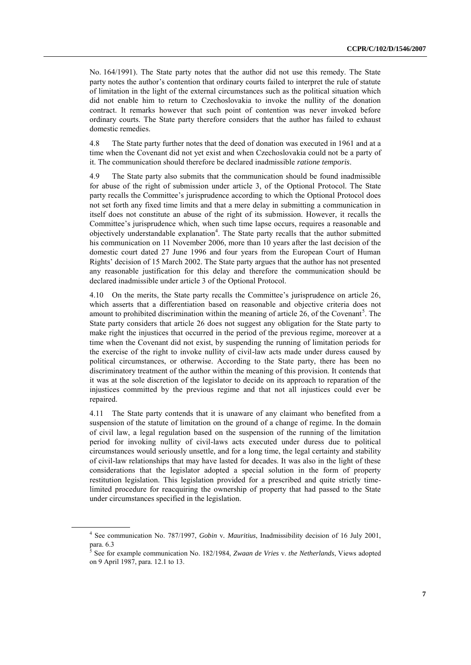No. 164/1991). The State party notes that the author did not use this remedy. The State party notes the author's contention that ordinary courts failed to interpret the rule of statute of limitation in the light of the external circumstances such as the political situation which did not enable him to return to Czechoslovakia to invoke the nullity of the donation contract. It remarks however that such point of contention was never invoked before ordinary courts. The State party therefore considers that the author has failed to exhaust domestic remedies.

4.8 The State party further notes that the deed of donation was executed in 1961 and at a time when the Covenant did not yet exist and when Czechoslovakia could not be a party of it. The communication should therefore be declared inadmissible *ratione temporis*.

4.9 The State party also submits that the communication should be found inadmissible for abuse of the right of submission under article 3, of the Optional Protocol. The State party recalls the Committee's jurisprudence according to which the Optional Protocol does not set forth any fixed time limits and that a mere delay in submitting a communication in itself does not constitute an abuse of the right of its submission. However, it recalls the Committee's jurisprudence which, when such time lapse occurs, requires a reasonable and objectively understandable explanation<sup>4</sup>. The State party recalls that the author submitted his communication on 11 November 2006, more than 10 years after the last decision of the domestic court dated 27 June 1996 and four years from the European Court of Human Rights' decision of 15 March 2002. The State party argues that the author has not presented any reasonable justification for this delay and therefore the communication should be declared inadmissible under article 3 of the Optional Protocol.

4.10 On the merits, the State party recalls the Committee's jurisprudence on article 26, which asserts that a differentiation based on reasonable and objective criteria does not amount to prohibited discrimination within the meaning of article 26, of the Covenant<sup>5</sup>. The State party considers that article 26 does not suggest any obligation for the State party to make right the injustices that occurred in the period of the previous regime, moreover at a time when the Covenant did not exist, by suspending the running of limitation periods for the exercise of the right to invoke nullity of civil-law acts made under duress caused by political circumstances, or otherwise. According to the State party, there has been no discriminatory treatment of the author within the meaning of this provision. It contends that it was at the sole discretion of the legislator to decide on its approach to reparation of the injustices committed by the previous regime and that not all injustices could ever be repaired.

4.11 The State party contends that it is unaware of any claimant who benefited from a suspension of the statute of limitation on the ground of a change of regime. In the domain of civil law, a legal regulation based on the suspension of the running of the limitation period for invoking nullity of civil-laws acts executed under duress due to political circumstances would seriously unsettle, and for a long time, the legal certainty and stability of civil-law relationships that may have lasted for decades. It was also in the light of these considerations that the legislator adopted a special solution in the form of property restitution legislation. This legislation provided for a prescribed and quite strictly timelimited procedure for reacquiring the ownership of property that had passed to the State under circumstances specified in the legislation.

<sup>4</sup> See communication No. 787/1997, *Gobin* v*. Mauritius*, Inadmissibility decision of 16 July 2001, para. 6.3 5 See for example communication No. 182/1984, *Zwaan de Vries* v. *the Netherlands*, Views adopted

on 9 April 1987, para. 12.1 to 13.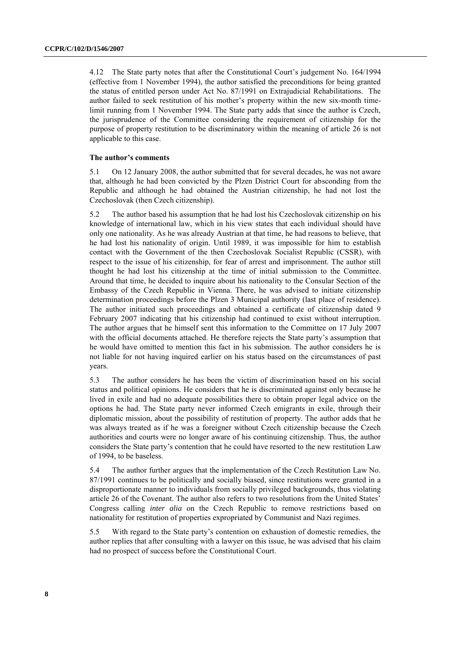4.12 The State party notes that after the Constitutional Court's judgement No. 164/1994 (effective from 1 November 1994), the author satisfied the preconditions for being granted the status of entitled person under Act No. 87/1991 on Extrajudicial Rehabilitations. The author failed to seek restitution of his mother's property within the new six-month timelimit running from 1 November 1994. The State party adds that since the author is Czech, the jurisprudence of the Committee considering the requirement of citizenship for the purpose of property restitution to be discriminatory within the meaning of article 26 is not applicable to this case.

#### **The author's comments**

5.1 On 12 January 2008, the author submitted that for several decades, he was not aware that, although he had been convicted by the Plzen District Court for absconding from the Republic and although he had obtained the Austrian citizenship, he had not lost the Czechoslovak (then Czech citizenship).

5.2 The author based his assumption that he had lost his Czechoslovak citizenship on his knowledge of international law, which in his view states that each individual should have only one nationality. As he was already Austrian at that time, he had reasons to believe, that he had lost his nationality of origin. Until 1989, it was impossible for him to establish contact with the Government of the then Czechoslovak Socialist Republic (CSSR), with respect to the issue of his citizenship, for fear of arrest and imprisonment. The author still thought he had lost his citizenship at the time of initial submission to the Committee. Around that time, he decided to inquire about his nationality to the Consular Section of the Embassy of the Czech Republic in Vienna. There, he was advised to initiate citizenship determination proceedings before the Plzen 3 Municipal authority (last place of residence). The author initiated such proceedings and obtained a certificate of citizenship dated 9 February 2007 indicating that his citizenship had continued to exist without interruption. The author argues that he himself sent this information to the Committee on 17 July 2007 with the official documents attached. He therefore rejects the State party's assumption that he would have omitted to mention this fact in his submission. The author considers he is not liable for not having inquired earlier on his status based on the circumstances of past years.

5.3 The author considers he has been the victim of discrimination based on his social status and political opinions. He considers that he is discriminated against only because he lived in exile and had no adequate possibilities there to obtain proper legal advice on the options he had. The State party never informed Czech emigrants in exile, through their diplomatic mission, about the possibility of restitution of property. The author adds that he was always treated as if he was a foreigner without Czech citizenship because the Czech authorities and courts were no longer aware of his continuing citizenship. Thus, the author considers the State party's contention that he could have resorted to the new restitution Law of 1994, to be baseless.

5.4 The author further argues that the implementation of the Czech Restitution Law No. 87/1991 continues to be politically and socially biased, since restitutions were granted in a disproportionate manner to individuals from socially privileged backgrounds, thus violating article 26 of the Covenant. The author also refers to two resolutions from the United States' Congress calling *inter alia* on the Czech Republic to remove restrictions based on nationality for restitution of properties expropriated by Communist and Nazi regimes.

5.5 With regard to the State party's contention on exhaustion of domestic remedies, the author replies that after consulting with a lawyer on this issue, he was advised that his claim had no prospect of success before the Constitutional Court.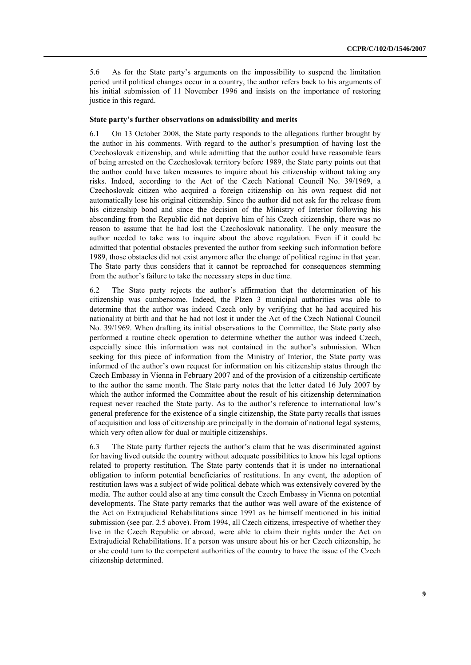5.6 As for the State party's arguments on the impossibility to suspend the limitation period until political changes occur in a country, the author refers back to his arguments of his initial submission of 11 November 1996 and insists on the importance of restoring justice in this regard.

#### **State party's further observations on admissibility and merits**

6.1 On 13 October 2008, the State party responds to the allegations further brought by the author in his comments. With regard to the author's presumption of having lost the Czechoslovak citizenship, and while admitting that the author could have reasonable fears of being arrested on the Czechoslovak territory before 1989, the State party points out that the author could have taken measures to inquire about his citizenship without taking any risks. Indeed, according to the Act of the Czech National Council No. 39/1969, a Czechoslovak citizen who acquired a foreign citizenship on his own request did not automatically lose his original citizenship. Since the author did not ask for the release from his citizenship bond and since the decision of the Ministry of Interior following his absconding from the Republic did not deprive him of his Czech citizenship, there was no reason to assume that he had lost the Czechoslovak nationality. The only measure the author needed to take was to inquire about the above regulation. Even if it could be admitted that potential obstacles prevented the author from seeking such information before 1989, those obstacles did not exist anymore after the change of political regime in that year. The State party thus considers that it cannot be reproached for consequences stemming from the author's failure to take the necessary steps in due time.

6.2 The State party rejects the author's affirmation that the determination of his citizenship was cumbersome. Indeed, the Plzen 3 municipal authorities was able to determine that the author was indeed Czech only by verifying that he had acquired his nationality at birth and that he had not lost it under the Act of the Czech National Council No. 39/1969. When drafting its initial observations to the Committee, the State party also performed a routine check operation to determine whether the author was indeed Czech, especially since this information was not contained in the author's submission. When seeking for this piece of information from the Ministry of Interior, the State party was informed of the author's own request for information on his citizenship status through the Czech Embassy in Vienna in February 2007 and of the provision of a citizenship certificate to the author the same month. The State party notes that the letter dated 16 July 2007 by which the author informed the Committee about the result of his citizenship determination request never reached the State party. As to the author's reference to international law's general preference for the existence of a single citizenship, the State party recalls that issues of acquisition and loss of citizenship are principally in the domain of national legal systems, which very often allow for dual or multiple citizenships.

6.3 The State party further rejects the author's claim that he was discriminated against for having lived outside the country without adequate possibilities to know his legal options related to property restitution. The State party contends that it is under no international obligation to inform potential beneficiaries of restitutions. In any event, the adoption of restitution laws was a subject of wide political debate which was extensively covered by the media. The author could also at any time consult the Czech Embassy in Vienna on potential developments. The State party remarks that the author was well aware of the existence of the Act on Extrajudicial Rehabilitations since 1991 as he himself mentioned in his initial submission (see par. 2.5 above). From 1994, all Czech citizens, irrespective of whether they live in the Czech Republic or abroad, were able to claim their rights under the Act on Extrajudicial Rehabilitations. If a person was unsure about his or her Czech citizenship, he or she could turn to the competent authorities of the country to have the issue of the Czech citizenship determined.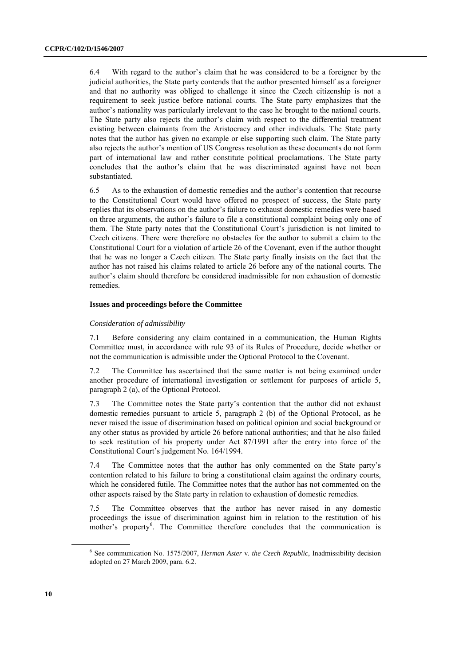6.4 With regard to the author's claim that he was considered to be a foreigner by the judicial authorities, the State party contends that the author presented himself as a foreigner and that no authority was obliged to challenge it since the Czech citizenship is not a requirement to seek justice before national courts. The State party emphasizes that the author's nationality was particularly irrelevant to the case he brought to the national courts. The State party also rejects the author's claim with respect to the differential treatment existing between claimants from the Aristocracy and other individuals. The State party notes that the author has given no example or else supporting such claim. The State party also rejects the author's mention of US Congress resolution as these documents do not form part of international law and rather constitute political proclamations. The State party concludes that the author's claim that he was discriminated against have not been substantiated.

6.5 As to the exhaustion of domestic remedies and the author's contention that recourse to the Constitutional Court would have offered no prospect of success, the State party replies that its observations on the author's failure to exhaust domestic remedies were based on three arguments, the author's failure to file a constitutional complaint being only one of them. The State party notes that the Constitutional Court's jurisdiction is not limited to Czech citizens. There were therefore no obstacles for the author to submit a claim to the Constitutional Court for a violation of article 26 of the Covenant, even if the author thought that he was no longer a Czech citizen. The State party finally insists on the fact that the author has not raised his claims related to article 26 before any of the national courts. The author's claim should therefore be considered inadmissible for non exhaustion of domestic remedies.

#### **Issues and proceedings before the Committee**

#### *Consideration of admissibility*

7.1 Before considering any claim contained in a communication, the Human Rights Committee must, in accordance with rule 93 of its Rules of Procedure, decide whether or not the communication is admissible under the Optional Protocol to the Covenant.

7.2 The Committee has ascertained that the same matter is not being examined under another procedure of international investigation or settlement for purposes of article 5, paragraph 2 (a), of the Optional Protocol.

7.3 The Committee notes the State party's contention that the author did not exhaust domestic remedies pursuant to article 5, paragraph 2 (b) of the Optional Protocol, as he never raised the issue of discrimination based on political opinion and social background or any other status as provided by article 26 before national authorities; and that he also failed to seek restitution of his property under Act 87/1991 after the entry into force of the Constitutional Court's judgement No. 164/1994.

7.4 The Committee notes that the author has only commented on the State party's contention related to his failure to bring a constitutional claim against the ordinary courts, which he considered futile. The Committee notes that the author has not commented on the other aspects raised by the State party in relation to exhaustion of domestic remedies.

7.5 The Committee observes that the author has never raised in any domestic proceedings the issue of discrimination against him in relation to the restitution of his mother's property<sup>6</sup>. The Committee therefore concludes that the communication is

<sup>6</sup> See communication No. 1575/2007, *Herman Aster* v. *the Czech Republic*, Inadmissibility decision adopted on 27 March 2009, para. 6.2.